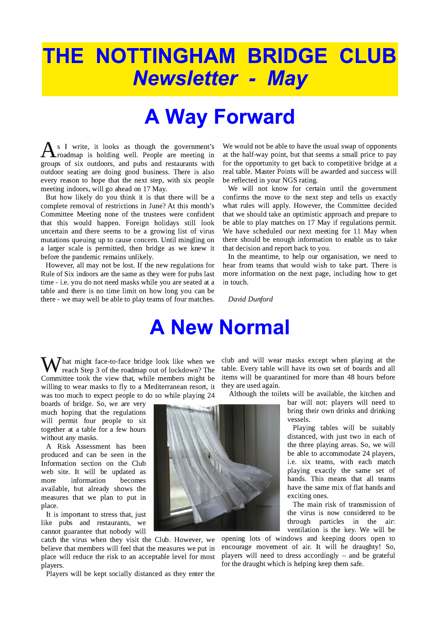# THE NOTTINGHAM BRIDGE CLUB **Newsletter - May**

# **A Way Forward**

s I write, it looks as though the government's roadmap is holding well. People are meeting in groups of six outdoors, and pubs and restaurants with outdoor seating are doing good business. There is also every reason to hope that the next step, with six people meeting indoors, will go ahead on 17 May.

But how likely do you think it is that there will be a complete removal of restrictions in June? At this month's Committee Meeting none of the trustees were confident that this would happen. Foreign holidays still look uncertain and there seems to be a growing list of virus mutations queuing up to cause concern. Until mingling on a larger scale is permitted, then bridge as we knew it before the pandemic remains unlikely.

However, all may not be lost. If the new regulations for Rule of Six indoors are the same as they were for pubs last time - i.e. you do not need masks while you are seated at a table and there is no time limit on how long you can be there - we may well be able to play teams of four matches. We would not be able to have the usual swap of opponents at the half-way point, but that seems a small price to pay for the opportunity to get back to competitive bridge at a real table. Master Points will be awarded and success will be reflected in your NGS rating.

We will not know for certain until the government confirms the move to the next step and tells us exactly what rules will apply. However, the Committee decided that we should take an optimistic approach and prepare to be able to play matches on 17 May if regulations permit. We have scheduled our next meeting for 11 May when there should be enough information to enable us to take that decision and report back to you.

In the meantime, to help our organisation, we need to hear from teams that would wish to take part. There is more information on the next page, including how to get in touch.

David Dunford

### **A New Normal**

 $\sum_{i=1}^{n}$  at might face-to-face bridge look like when we reach Step 3 of the roadmap out of lockdown? The Committee took the view that, while members might be willing to wear masks to fly to a Mediterranean resort, it was too much to expect people to do so while playing 24

boards of bridge. So, we are very much hoping that the regulations will permit four people to sit together at a table for a few hours without any masks.

A Risk Assessment has been produced and can be seen in the Information section on the Club web site. It will be updated as more information becomes available, but already shows the measures that we plan to put in place.

It is important to stress that, just like pubs and restaurants, we cannot guarantee that nobody will

catch the virus when they visit the Club. However, we believe that members will feel that the measures we put in place will reduce the risk to an acceptable level for most players.

Players will be kept socially distanced as they enter the

club and will wear masks except when playing at the table. Every table will have its own set of boards and all items will be quarantined for more than 48 hours before they are used again.

Although the toilets will be available, the kitchen and

bar will not: players will need to bring their own drinks and drinking vessels.

Playing tables will be suitably distanced, with just two in each of the three playing areas. So, we will be able to accommodate 24 players, i.e. six teams, with each match playing exactly the same set of hands. This means that all teams have the same mix of flat hands and exciting ones.

The main risk of transmission of the virus is now considered to be through particles in the air: ventilation is the key. We will be

opening lots of windows and keeping doors open to encourage movement of air. It will be draughty! So, players will need to dress accordingly  $-$  and be grateful for the draught which is helping keep them safe.